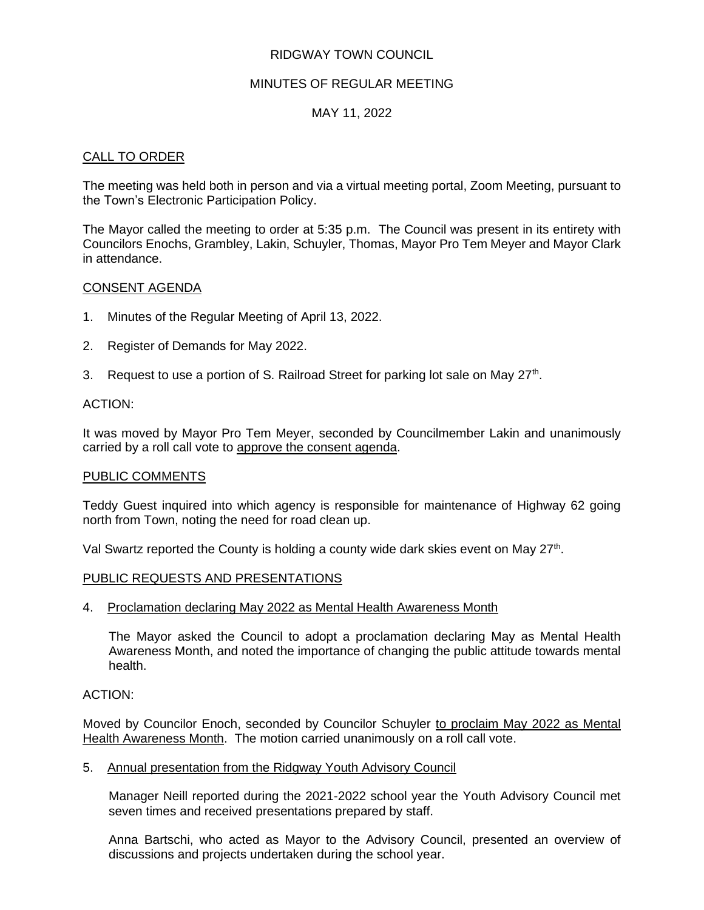## RIDGWAY TOWN COUNCIL

### MINUTES OF REGULAR MEETING

### MAY 11, 2022

### CALL TO ORDER

The meeting was held both in person and via a virtual meeting portal, Zoom Meeting, pursuant to the Town's Electronic Participation Policy.

The Mayor called the meeting to order at 5:35 p.m. The Council was present in its entirety with Councilors Enochs, Grambley, Lakin, Schuyler, Thomas, Mayor Pro Tem Meyer and Mayor Clark in attendance.

#### CONSENT AGENDA

- 1. Minutes of the Regular Meeting of April 13, 2022.
- 2. Register of Demands for May 2022.
- 3. Request to use a portion of S. Railroad Street for parking lot sale on May  $27<sup>th</sup>$ .

### ACTION:

It was moved by Mayor Pro Tem Meyer, seconded by Councilmember Lakin and unanimously carried by a roll call vote to approve the consent agenda.

### PUBLIC COMMENTS

Teddy Guest inquired into which agency is responsible for maintenance of Highway 62 going north from Town, noting the need for road clean up.

Val Swartz reported the County is holding a county wide dark skies event on May 27<sup>th</sup>.

### PUBLIC REQUESTS AND PRESENTATIONS

4. Proclamation declaring May 2022 as Mental Health Awareness Month

The Mayor asked the Council to adopt a proclamation declaring May as Mental Health Awareness Month, and noted the importance of changing the public attitude towards mental health.

### ACTION:

Moved by Councilor Enoch, seconded by Councilor Schuyler to proclaim May 2022 as Mental Health Awareness Month. The motion carried unanimously on a roll call vote.

### 5. Annual presentation from the Ridgway Youth Advisory Council

Manager Neill reported during the 2021-2022 school year the Youth Advisory Council met seven times and received presentations prepared by staff.

Anna Bartschi, who acted as Mayor to the Advisory Council, presented an overview of discussions and projects undertaken during the school year.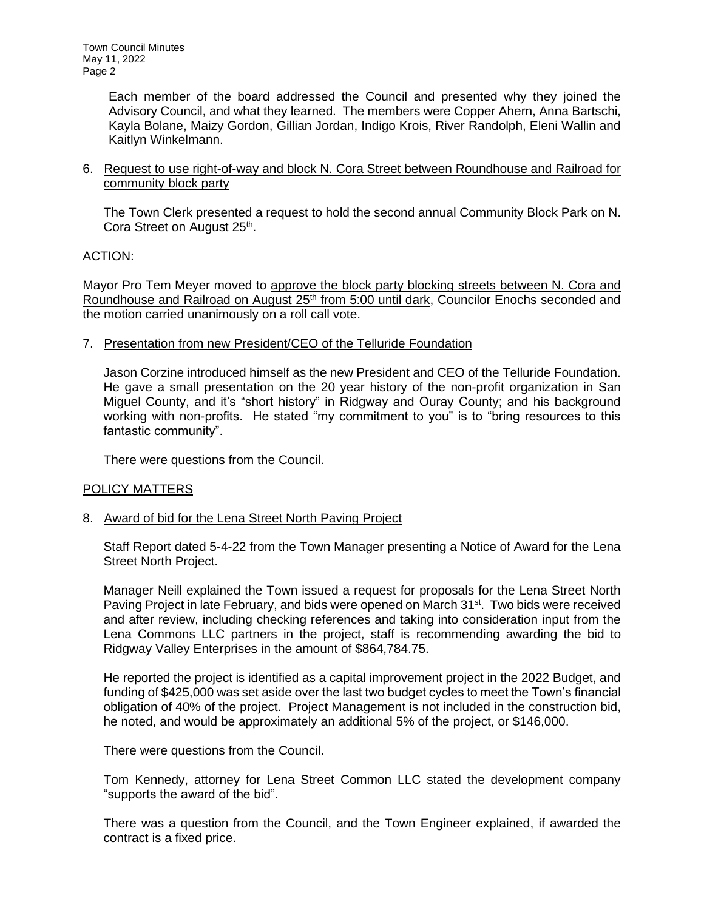> Each member of the board addressed the Council and presented why they joined the Advisory Council, and what they learned. The members were Copper Ahern, Anna Bartschi, Kayla Bolane, Maizy Gordon, Gillian Jordan, Indigo Krois, River Randolph, Eleni Wallin and Kaitlyn Winkelmann.

6. Request to use right-of-way and block N. Cora Street between Roundhouse and Railroad for community block party

The Town Clerk presented a request to hold the second annual Community Block Park on N. Cora Street on August 25<sup>th</sup>.

ACTION:

Mayor Pro Tem Meyer moved to approve the block party blocking streets between N. Cora and Roundhouse and Railroad on August 25<sup>th</sup> from 5:00 until dark, Councilor Enochs seconded and the motion carried unanimously on a roll call vote.

7. Presentation from new President/CEO of the Telluride Foundation

Jason Corzine introduced himself as the new President and CEO of the Telluride Foundation. He gave a small presentation on the 20 year history of the non-profit organization in San Miguel County, and it's "short history" in Ridgway and Ouray County; and his background working with non-profits. He stated "my commitment to you" is to "bring resources to this fantastic community".

There were questions from the Council.

# POLICY MATTERS

# 8. Award of bid for the Lena Street North Paving Project

Staff Report dated 5-4-22 from the Town Manager presenting a Notice of Award for the Lena Street North Project.

Manager Neill explained the Town issued a request for proposals for the Lena Street North Paving Project in late February, and bids were opened on March 31<sup>st</sup>. Two bids were received and after review, including checking references and taking into consideration input from the Lena Commons LLC partners in the project, staff is recommending awarding the bid to Ridgway Valley Enterprises in the amount of \$864,784.75.

He reported the project is identified as a capital improvement project in the 2022 Budget, and funding of \$425,000 was set aside over the last two budget cycles to meet the Town's financial obligation of 40% of the project. Project Management is not included in the construction bid, he noted, and would be approximately an additional 5% of the project, or \$146,000.

There were questions from the Council.

Tom Kennedy, attorney for Lena Street Common LLC stated the development company "supports the award of the bid".

There was a question from the Council, and the Town Engineer explained, if awarded the contract is a fixed price.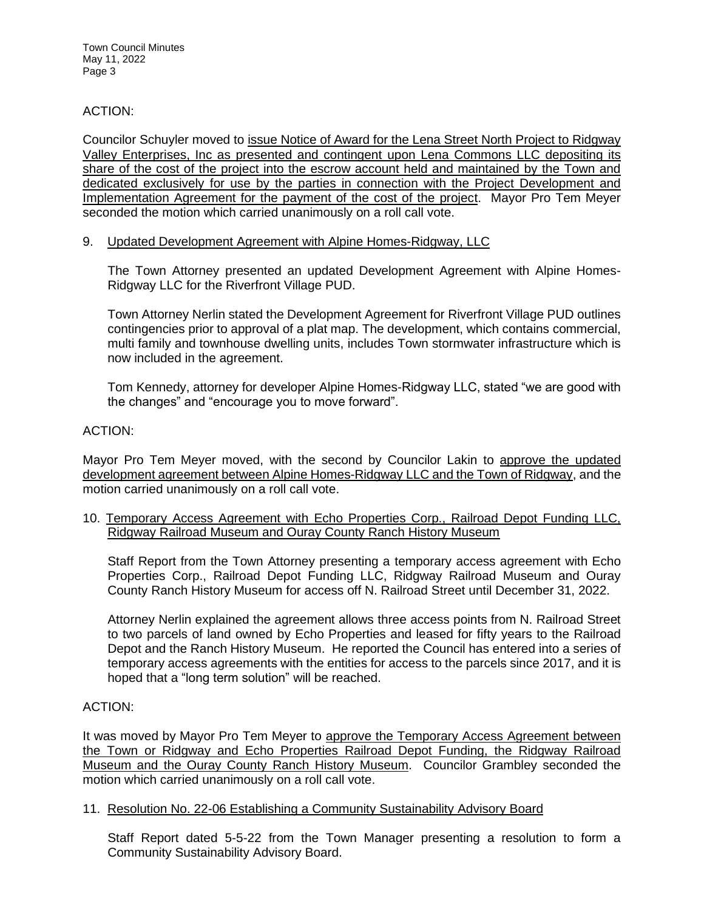### ACTION:

Councilor Schuyler moved to issue Notice of Award for the Lena Street North Project to Ridgway Valley Enterprises, Inc as presented and contingent upon Lena Commons LLC depositing its share of the cost of the project into the escrow account held and maintained by the Town and dedicated exclusively for use by the parties in connection with the Project Development and Implementation Agreement for the payment of the cost of the project. Mayor Pro Tem Meyer seconded the motion which carried unanimously on a roll call vote.

### 9. Updated Development Agreement with Alpine Homes-Ridgway, LLC

The Town Attorney presented an updated Development Agreement with Alpine Homes-Ridgway LLC for the Riverfront Village PUD.

Town Attorney Nerlin stated the Development Agreement for Riverfront Village PUD outlines contingencies prior to approval of a plat map. The development, which contains commercial, multi family and townhouse dwelling units, includes Town stormwater infrastructure which is now included in the agreement.

Tom Kennedy, attorney for developer Alpine Homes-Ridgway LLC, stated "we are good with the changes" and "encourage you to move forward".

### ACTION:

Mayor Pro Tem Meyer moved, with the second by Councilor Lakin to approve the updated development agreement between Alpine Homes-Ridgway LLC and the Town of Ridgway, and the motion carried unanimously on a roll call vote.

10. Temporary Access Agreement with Echo Properties Corp., Railroad Depot Funding LLC, Ridgway Railroad Museum and Ouray County Ranch History Museum

Staff Report from the Town Attorney presenting a temporary access agreement with Echo Properties Corp., Railroad Depot Funding LLC, Ridgway Railroad Museum and Ouray County Ranch History Museum for access off N. Railroad Street until December 31, 2022.

Attorney Nerlin explained the agreement allows three access points from N. Railroad Street to two parcels of land owned by Echo Properties and leased for fifty years to the Railroad Depot and the Ranch History Museum. He reported the Council has entered into a series of temporary access agreements with the entities for access to the parcels since 2017, and it is hoped that a "long term solution" will be reached.

### ACTION:

It was moved by Mayor Pro Tem Meyer to approve the Temporary Access Agreement between the Town or Ridgway and Echo Properties Railroad Depot Funding, the Ridgway Railroad Museum and the Ouray County Ranch History Museum. Councilor Grambley seconded the motion which carried unanimously on a roll call vote.

### 11. Resolution No. 22-06 Establishing a Community Sustainability Advisory Board

Staff Report dated 5-5-22 from the Town Manager presenting a resolution to form a Community Sustainability Advisory Board.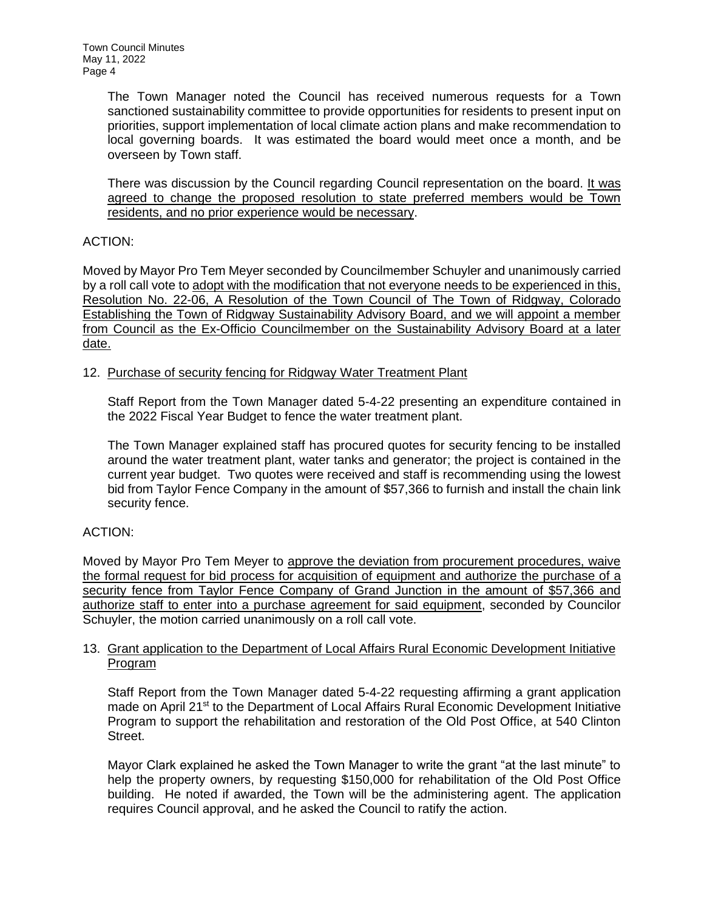> The Town Manager noted the Council has received numerous requests for a Town sanctioned sustainability committee to provide opportunities for residents to present input on priorities, support implementation of local climate action plans and make recommendation to local governing boards. It was estimated the board would meet once a month, and be overseen by Town staff.

> There was discussion by the Council regarding Council representation on the board. It was agreed to change the proposed resolution to state preferred members would be Town residents, and no prior experience would be necessary.

# ACTION:

Moved by Mayor Pro Tem Meyer seconded by Councilmember Schuyler and unanimously carried by a roll call vote to adopt with the modification that not everyone needs to be experienced in this, Resolution No. 22-06, A Resolution of the Town Council of The Town of Ridgway, Colorado Establishing the Town of Ridgway Sustainability Advisory Board, and we will appoint a member from Council as the Ex-Officio Councilmember on the Sustainability Advisory Board at a later date.

# 12. Purchase of security fencing for Ridgway Water Treatment Plant

Staff Report from the Town Manager dated 5-4-22 presenting an expenditure contained in the 2022 Fiscal Year Budget to fence the water treatment plant.

The Town Manager explained staff has procured quotes for security fencing to be installed around the water treatment plant, water tanks and generator; the project is contained in the current year budget. Two quotes were received and staff is recommending using the lowest bid from Taylor Fence Company in the amount of \$57,366 to furnish and install the chain link security fence.

# ACTION:

Moved by Mayor Pro Tem Meyer to approve the deviation from procurement procedures, waive the formal request for bid process for acquisition of equipment and authorize the purchase of a security fence from Taylor Fence Company of Grand Junction in the amount of \$57,366 and authorize staff to enter into a purchase agreement for said equipment, seconded by Councilor Schuyler, the motion carried unanimously on a roll call vote.

# 13. Grant application to the Department of Local Affairs Rural Economic Development Initiative Program

Staff Report from the Town Manager dated 5-4-22 requesting affirming a grant application made on April 21<sup>st</sup> to the Department of Local Affairs Rural Economic Development Initiative Program to support the rehabilitation and restoration of the Old Post Office, at 540 Clinton Street.

Mayor Clark explained he asked the Town Manager to write the grant "at the last minute" to help the property owners, by requesting \$150,000 for rehabilitation of the Old Post Office building. He noted if awarded, the Town will be the administering agent. The application requires Council approval, and he asked the Council to ratify the action.